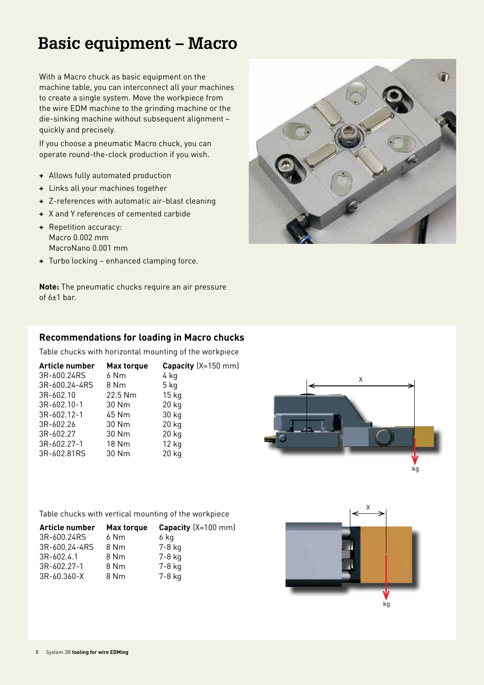With a Macro chuck as basic equipment on the machine table, you can interconnect all your machines to create a single system. Move the workpiece from the wire EDM machine to the grinding machine or the die-sinking machine without subsequent alignment – quickly and precisely.

If you choose a pneumatic Macro chuck, you can operate round-the-clock production if you wish.

- **+** Allows fully automated production
- **+** Links all your machines together
- **+** Z-references with automatic air-blast cleaning
- **+** X and Y references of cemented carbide
- **+** Repetition accuracy: Macro 0.002 mm MacroNano 0.001 mm
- **+** Turbo locking enhanced clamping force.

**Note:** The pneumatic chucks require an air pressure of 6±1 bar.



# X kg

# **Recommendations for loading in Macro chucks**

Table chucks with horizontal mounting of the workpiece

| Article number | <b>Max torque</b> | <b>Capacity</b> $(X=150$ mm) |
|----------------|-------------------|------------------------------|
| 3R-600.24RS    | 6 Nm              | 4 kg                         |
| 3R-600.24-4RS  | 8 Nm              | 5 kg                         |
| 3R-602.10      | 22.5 Nm           | 15 <sub>kg</sub>             |
| 3R-602.10-1    | 30 Nm             | 20 kg                        |
| 3R-602.12-1    | 45 Nm             | 30 kg                        |
| 3R-602.26      | 30 Nm             | 20 kg                        |
| 3R-602.27      | 30 Nm             | 20 kg                        |
| 3R-602.27-1    | 18 Nm             | $12$ kg                      |
| 3R-602.81RS    | 30 Nm             | 20 kg                        |
|                |                   |                              |

Table chucks with vertical mounting of the workpiece

| Article number | Max torque | Capacity $(X=100$ mm) |
|----------------|------------|-----------------------|
| 3R-600.24RS    | 6 Nm       | 6 ka                  |
| 3R-600.24-4RS  | 8 Nm       | $7-8$ kg              |
| $3R - 602.4.1$ | 8 Nm       | 7-8 kg                |
| 3R-602.27-1    | 8 Nm       | 7-8 kg                |
| 3R-60.360-X    | 8 Nm       | 7-8 kg                |

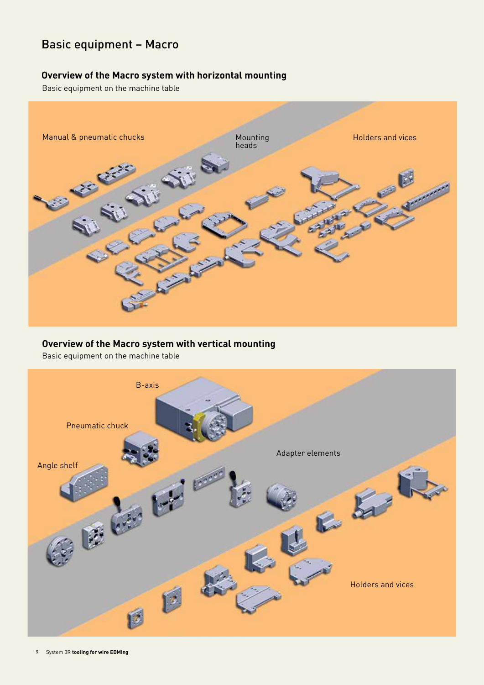# **Overview of the Macro system with horizontal mounting**

Basic equipment on the machine table



# **Overview of the Macro system with vertical mounting**

Basic equipment on the machine table

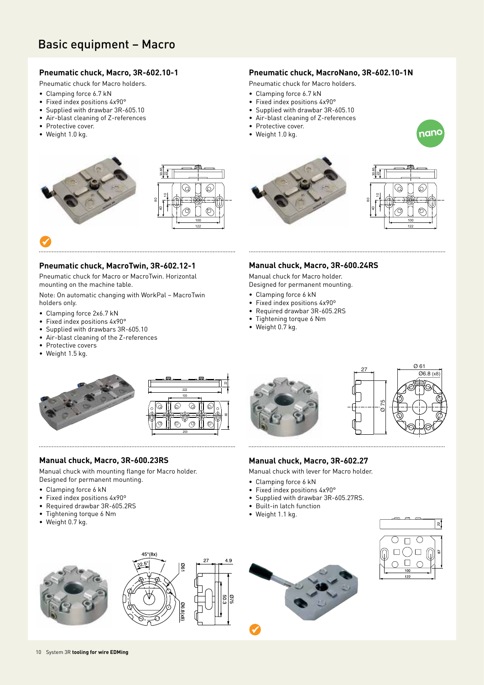# **Pneumatic chuck, Macro, 3R-602.10-1**

Pneumatic chuck for Macro holders.

- Clamping force 6.7 kN
- Fixed index positions 4x90°
- Supplied with drawbar 3R-605.10
- Air-blast cleaning of Z-references
- Protective cover.
- Weight 1.0 kg.





# **Pneumatic chuck, MacroTwin, 3R-602.12-1**

Pneumatic chuck for Macro or MacroTwin. Horizontal mounting on the machine table.

Note: On automatic changing with WorkPal – MacroTwin holders only.

- Clamping force 2x6.7 kN
- Fixed index positions 4x90°
- Supplied with drawbars 3R-605.10
- Air-blast cleaning of the Z-references
- Protective covers
- Weight 1.5 kg.



- Pneumatic chuck for Macro holders.
- Clamping force 6.7 kN
- Fixed index positions 4x90°
- Supplied with drawbar 3R-605.10
- Air-blast cleaning of Z-references
- Protective cover.
- Weight 1.0 kg.







# **Manual chuck, Macro, 3R-600.24RS**

27

Ø 75

 $Q$  61 Ø6.8 (x8)

Manual chuck for Macro holder.

- Designed for permanent mounting.
- Clamping force 6 kN
- Fixed index positions 4x90º
- Required drawbar 3R-605.2RS
- Tightening torque 6 Nm
- Weight 0.7 kg.



### **Manual chuck, Macro, 3R-600.23RS**

Manual chuck with mounting flange for Macro holder. Designed for permanent mounting.

- Clamping force 6 kN
- Fixed index positions 4x90º
- Required drawbar 3R-605.2RS
- Tightening torque 6 Nm
- Weight 0.7 kg.





- Built-in latch function
- Weight 1.1 kg.







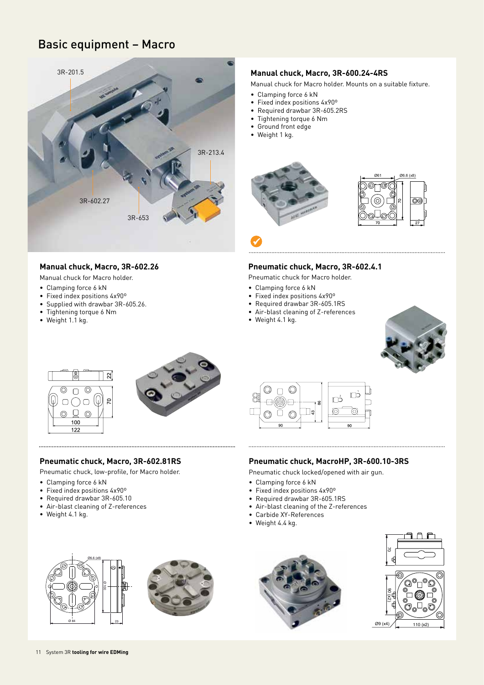

# **Manual chuck, Macro, 3R-602.26**

Manual chuck for Macro holder.

- Clamping force 6 kN
- Fixed index positions 4x90º
- Supplied with drawbar 3R-605.26.
- Tightening torque 6 Nm
- Weight 1.1 kg.

# **Manual chuck, Macro, 3R-600.24-4RS**

Manual chuck for Macro holder. Mounts on a suitable fixture.

- Clamping force 6 kN
- Fixed index positions 4x90º
- Required drawbar 3R-605.2RS
- Tightening torque 6 Nm
- Ground front edge
- Weight 1 kg.



# 

 $\checkmark$ 

### **Pneumatic chuck, Macro, 3R-602.4.1**

Pneumatic chuck for Macro holder.

- Clamping force 6 kN
- Fixed index positions 4x90º
- Required drawbar 3R-605.1RS
- Air-blast cleaning of Z-references
- Weight 4.1 kg.







### **Pneumatic chuck, Macro, 3R-602.81RS**

Pneumatic chuck, low-profile, for Macro holder.

- Clamping force 6 kN
- Fixed index positions 4x90º
- Required drawbar 3R-605.10
- Air-blast cleaning of Z-references
- Weight 4.1 kg.



### **Pneumatic chuck, MacroHP, 3R-600.10-3RS**

Pneumatic chuck locked/opened with air gun.

- Clamping force 6 kN
- Fixed index positions 4x90º
- Required drawbar 3R-605.1RS
- Air-blast cleaning of the Z-references
- Carbide XY-References
- Weight 4.4 kg.









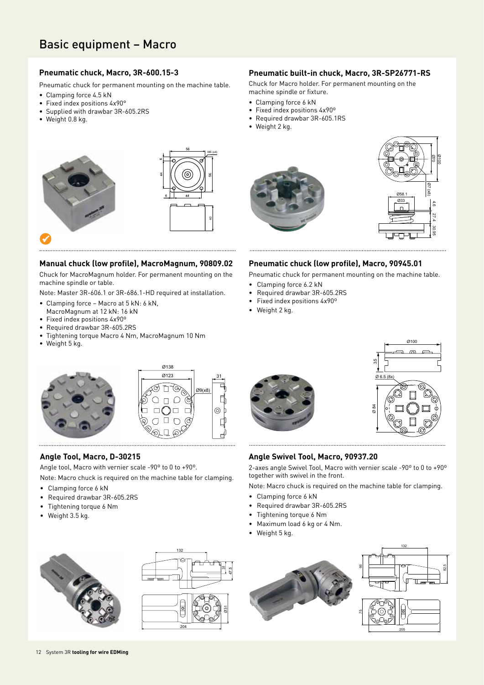# **Pneumatic chuck, Macro, 3R-600.15-3**

Pneumatic chuck for permanent mounting on the machine table.

- Clamping force 4.5 kN
- Fixed index positions 4x90°
- Supplied with drawbar 3R-605.2RS
- Weight 0.8 kg.

# **Pneumatic built-in chuck, Macro, 3R-SP26771-RS**

Chuck for Macro holder. For permanent mounting on the machine spindle or fixture.

- Clamping force 6 kN
- Fixed index positions 4x90º
- Required drawbar 3R-605.1RS
- Weight 2 kg.



# **Manual chuck (low profile), MacroMagnum, 90809.02**

Chuck for MacroMagnum holder. For permanent mounting on the machine spindle or table.

Note: Master 3R-606.1 or 3R-686.1-HD required at installation.

- Clamping force Macro at 5 kN: 6 kN,
- MacroMagnum at 12 kN: 16 kN
- Fixed index positions 4x90º
- Required drawbar 3R-605.2RS
- Tightening torque Macro 4 Nm, MacroMagnum 10 Nm
- Weight 5 kg.





# **Angle Tool, Macro, D-30215**

Angle tool, Macro with vernier scale -90º to 0 to +90º.

Note: Macro chuck is required on the machine table for clamping.

- Clamping force 6 kN
- Required drawbar 3R-605.2RS
- Tightening torque 6 Nm
- Weight 3.5 kg.







Pneumatic chuck for permanent mounting on the machine table.

- Clamping force 6.2 kN
- Required drawbar 3R-605.2RS
- Fixed index positions 4x90º
- Weight 2 kg.





82.5

Ø100

30.95

4.6

 $Q(x8)$ Ø70 27.4

Ø33

Ø58.1

# **Angle Swivel Tool, Macro, 90937.20**

2-axes angle Swivel Tool, Macro with vernier scale -90º to 0 to +90º together with swivel in the front.

Note: Macro chuck is required on the machine table for clamping.

- Clamping force 6 kN
- Required drawbar 3R-605.2RS
- Tightening torque 6 Nm
- Maximum load 6 kg or 4 Nm.
- Weight 5 kg.